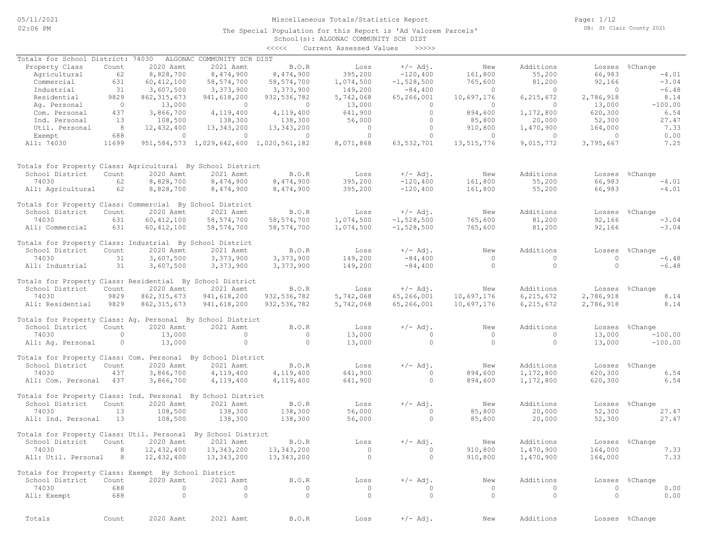The Special Population for this Report is 'Ad Valorem Parcels'

Page: 1/12 DB: St Clair County 2021

# School(s): ALGONAC COMMUNITY SCH DIST

|                                                              |                |                |                                                 | <<<<           | Current Assessed Values | >>>>>        |            |                |                |                |
|--------------------------------------------------------------|----------------|----------------|-------------------------------------------------|----------------|-------------------------|--------------|------------|----------------|----------------|----------------|
| Totals for School District: 74030                            |                |                | ALGONAC COMMUNITY SCH DIST                      |                |                         |              |            |                |                |                |
| Property Class                                               | Count          | 2020 Asmt      | 2021 Asmt                                       | B.O.R          | Loss                    | $+/-$ Adj.   | New        | Additions      |                | Losses %Change |
| Agricultural                                                 | 62             | 8,828,700      | 8,474,900                                       | 8,474,900      | 395,200                 | $-120,400$   | 161,800    | 55,200         | 66,983         | $-4.01$        |
| Commercial                                                   | 631            | 60, 412, 100   | 58, 574, 700                                    | 58, 574, 700   | 1,074,500               | $-1,528,500$ | 765,600    | 81,200         | 92,166         | $-3.04$        |
| Industrial                                                   | 31             | 3,607,500      |                                                 |                | 149,200                 |              | $\circ$    | $\circ$        | $\overline{0}$ | $-6.48$        |
|                                                              |                |                | 3,373,900                                       | 3,373,900      |                         | $-84,400$    |            |                |                |                |
| Residential                                                  | 9829           | 862, 315, 673  | 941,618,200                                     | 932, 536, 782  | 5,742,068               | 65,266,001   | 10,697,176 | 6, 215, 672    | 2,786,918      | 8.14           |
| Ag. Personal                                                 | $\overline{0}$ | 13,000         | $\overline{0}$                                  | $\overline{0}$ | 13,000                  | $\circ$      | $\circ$    | $\Omega$       | 13,000         | $-100.00$      |
| Com. Personal                                                | 437            | 3,866,700      | 4,119,400                                       | 4,119,400      | 641,900                 | $\circ$      | 894,600    | 1,172,800      | 620,300        | 6.54           |
| Ind. Personal                                                | 13             | 108,500        | 138,300                                         | 138,300        | 56,000                  | $\circ$      | 85,800     | 20,000         | 52,300         | 27.47          |
| Util. Personal                                               | 8 <sup>8</sup> | 12,432,400     | 13,343,200                                      | 13,343,200     | $\circ$                 | $\circ$      | 910,800    | 1,470,900      | 164,000        | 7.33           |
| Exempt                                                       | 688            | $\overline{0}$ | $\circ$                                         | $\overline{0}$ | $\circ$                 | $\circ$      | $\circ$    | $\overline{0}$ | $\overline{0}$ | 0.00           |
| All: 74030                                                   | 11699          |                | 951, 584, 573 1, 029, 642, 600 1, 020, 561, 182 |                | 8,071,868               | 63, 532, 701 | 13,515,776 | 9,015,772      | 3,795,667      | 7.25           |
| Totals for Property Class: Agricultural By School District   |                |                |                                                 |                |                         |              |            |                |                |                |
| School District                                              | Count          | 2020 Asmt      | 2021 Asmt                                       | B.O.R          | Loss                    | $+/-$ Adj.   | New        | Additions      |                |                |
|                                                              |                |                |                                                 |                |                         |              |            |                |                | Losses %Change |
| 74030                                                        | 62             | 8,828,700      | 8,474,900                                       | 8,474,900      | 395,200                 | $-120,400$   | 161,800    | 55,200         | 66,983         | $-4.01$        |
| All: Agricultural                                            | 62             | 8,828,700      | 8,474,900                                       | 8,474,900      | 395,200                 | $-120,400$   | 161,800    | 55,200         | 66,983         | $-4.01$        |
| Totals for Property Class: Commercial By School District     |                |                |                                                 |                |                         |              |            |                |                |                |
| School District                                              | Count          | 2020 Asmt      | 2021 Asmt                                       | B.O.R          | Loss                    | $+/-$ Adj.   | New        | Additions      |                | Losses %Change |
| 74030                                                        | 631            | 60, 412, 100   | 58, 574, 700                                    | 58, 574, 700   | 1,074,500               | $-1,528,500$ | 765,600    | 81,200         | 92,166         | $-3.04$        |
| All: Commercial                                              | 631            | 60, 412, 100   | 58, 574, 700                                    | 58, 574, 700   | 1,074,500               | $-1,528,500$ | 765,600    | 81,200         | 92,166         | $-3.04$        |
| Totals for Property Class: Industrial By School District     |                |                |                                                 |                |                         |              |            |                |                |                |
| School District                                              | Count          | 2020 Asmt      | 2021 Asmt                                       | B.O.R          | Loss                    | $+/-$ Adj.   | New        | Additions      | Losses         | %Change        |
| 74030                                                        | 31             | 3,607,500      | 3,373,900                                       | 3,373,900      | 149,200                 | $-84,400$    | $\circ$    | $\Omega$       | $\circ$        | $-6.48$        |
| All: Industrial                                              | 31             | 3,607,500      | 3,373,900                                       | 3,373,900      | 149,200                 | $-84,400$    | $\circ$    | $\circ$        | $\Omega$       | $-6.48$        |
|                                                              |                |                |                                                 |                |                         |              |            |                |                |                |
| Totals for Property Class: Residential By School District    |                |                |                                                 |                |                         |              |            |                |                |                |
| School District                                              | Count          | 2020 Asmt      | 2021 Asmt                                       | B.O.R          | Loss                    | $+/-$ Adj.   | New        | Additions      |                | Losses %Change |
| 74030                                                        | 9829           | 862, 315, 673  | 941,618,200                                     | 932, 536, 782  | 5,742,068               | 65,266,001   | 10,697,176 | 6, 215, 672    | 2,786,918      | 8.14           |
| All: Residential                                             | 9829           | 862, 315, 673  | 941,618,200                                     | 932,536,782    | 5,742,068               | 65,266,001   | 10,697,176 | 6, 215, 672    | 2,786,918      | 8.14           |
|                                                              |                |                |                                                 |                |                         |              |            |                |                |                |
| Totals for Property Class: Ag. Personal By School District   |                |                |                                                 |                |                         |              |            |                |                |                |
| School District                                              | Count          | 2020 Asmt      | 2021 Asmt                                       | B.O.R          | Loss                    | $+/-$ Adj.   | New        | Additions      |                | Losses %Change |
| 74030                                                        | $\circ$        | 13,000         | $\circ$                                         | $\circ$        | 13,000                  | $\circ$      | $\circ$    | $\circ$        | 13,000         | $-100.00$      |
| All: Ag. Personal                                            | $\circ$        | 13,000         | $\circ$                                         | $\circ$        | 13,000                  | $\circ$      | $\Omega$   | $\circ$        | 13,000         | $-100.00$      |
| Totals for Property Class: Com. Personal By School District  |                |                |                                                 |                |                         |              |            |                |                |                |
| School District                                              | Count          | 2020 Asmt      | 2021 Asmt                                       | B.O.R          | Loss                    | $+/-$ Adj.   | New        | Additions      |                | Losses %Change |
| 74030                                                        | 437            | 3,866,700      | 4,119,400                                       | 4,119,400      | 641,900                 | $\circ$      | 894,600    | 1,172,800      | 620,300        | 6.54           |
| All: Com. Personal 437                                       |                | 3,866,700      | 4,119,400                                       | 4,119,400      | 641,900                 | $\circ$      | 894,600    | 1,172,800      | 620,300        | 6.54           |
|                                                              |                |                |                                                 |                |                         |              |            |                |                |                |
| Totals for Property Class: Ind. Personal By School District  |                |                |                                                 |                |                         |              |            |                |                |                |
| School District                                              | Count          | 2020 Asmt      | 2021 Asmt                                       | B.O.R          | Loss                    | $+/-$ Adj.   | New        | Additions      | Losses         | %Change        |
| 74030                                                        | 13             | 108,500        | 138,300                                         | 138,300        | 56,000                  | $\Omega$     | 85,800     | 20,000         | 52,300         | 27.47          |
| All: Ind. Personal                                           | 13             | 108,500        | 138,300                                         | 138,300        | 56,000                  | $\circ$      | 85,800     | 20,000         | 52,300         | 27.47          |
| Totals for Property Class: Util. Personal By School District |                |                |                                                 |                |                         |              |            |                |                |                |
| School District Count 2020 Asmt 2021 Asmt B.O.R              |                |                |                                                 |                | Loss                    | $+/-$ Adj.   | New        | Additions      |                | Losses %Change |
| 74030                                                        | 8              | 12,432,400     | 13,343,200                                      | 13, 343, 200   | $\circ$                 | $\circ$      | 910,800    | 1,470,900      | 164,000        | 7.33           |
| All: Util. Personal 8                                        |                | 12,432,400     |                                                 |                | $\circ$                 | $\circ$      |            |                |                |                |
|                                                              |                |                | 13,343,200                                      | 13,343,200     |                         |              | 910,800    | 1,470,900      | 164,000        | 7.33           |
| Totals for Property Class: Exempt By School District         |                |                |                                                 |                |                         |              |            |                |                |                |
| School District                                              | Count          | 2020 Asmt      | 2021 Asmt                                       | B.O.R          | Loss                    | $+/-$ Adj.   | New        | Additions      |                | Losses %Change |
| 74030                                                        | 688            | $\circ$        | $\circ$                                         | 0              | 0                       | 0            | $\circ$    | 0              | $\circ$        | 0.00           |
| All: Exempt                                                  | 688            | $\circ$        | $\circ$                                         | $\circ$        | $\circ$                 | $\circ$      | $\circ$    | $\circ$        | $\circ$        | 0.00           |
|                                                              |                |                |                                                 |                |                         |              |            |                |                |                |
| Totals                                                       | Count          | 2020 Asmt      | 2021 Asmt                                       | B.O.R          | Loss                    | $+/-$ Adj.   | New        | Additions      |                | Losses %Change |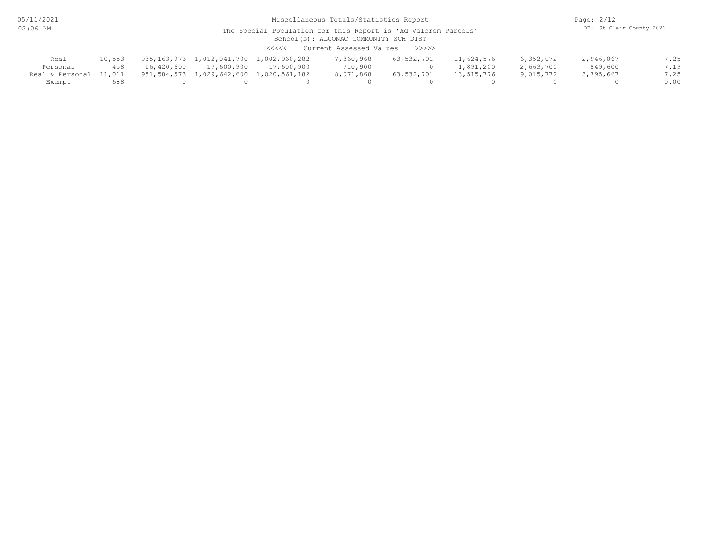05/11/2021 02:06 PM

# Miscellaneous Totals/Statistics Report

Page: 2/12 DB: St Clair County 2021

#### School(s): ALGONAC COMMUNITY SCH DIST The Special Population for this Report is 'Ad Valorem Parcels'

<<<<< Current Assessed Values >>>>>

| Real                   | 10,553 |            |            | 935,163,973 1,012,041,700 1,002,960,282 | ,360,968  | 63,532,701 | 11,624,576 | 6,352,072 | 2,946,067 |      |
|------------------------|--------|------------|------------|-----------------------------------------|-----------|------------|------------|-----------|-----------|------|
| Personal               | 458    | 16,420,600 | 17,600,900 | 17,600,900                              | 710,900   |            | 1,891,200  | 2,663,700 | 849,600   | 719  |
| Real & Personal 11,011 |        |            |            | 951,584,573 1,029,642,600 1,020,561,182 | 8,071,868 | 63,532,701 | 13,515,776 | 9,015,772 | 3,795,667 | 7.25 |
| Exempt                 | 688    |            |            |                                         |           |            |            |           |           | 0.00 |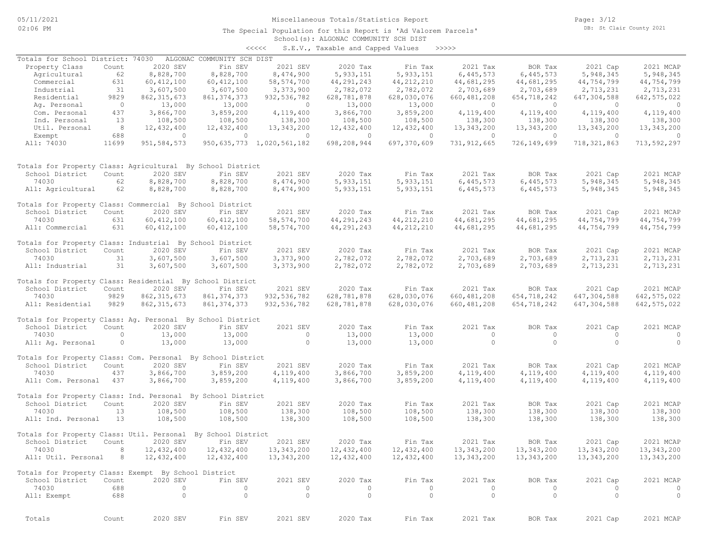05/11/2021 02:06 PM

#### Miscellaneous Totals/Statistics Report

The Special Population for this Report is 'Ad Valorem Parcels'

Page: 3/12 DB: St Clair County 2021

# School(s): ALGONAC COMMUNITY SCH DIST

|                                                              |                |               |                            | <<<<                           | S.E.V., Taxable and Capped Values |                | >>>>>          |                         |               |                |
|--------------------------------------------------------------|----------------|---------------|----------------------------|--------------------------------|-----------------------------------|----------------|----------------|-------------------------|---------------|----------------|
| Totals for School District: 74030                            |                |               | ALGONAC COMMUNITY SCH DIST |                                |                                   |                |                |                         |               |                |
| Property Class                                               | Count          | 2020 SEV      | Fin SEV                    | 2021 SEV                       | 2020 Tax                          | Fin Tax        | 2021 Tax       | BOR Tax                 | 2021 Cap      | 2021 MCAP      |
| Agricultural                                                 | 62             | 8,828,700     | 8,828,700                  | 8,474,900                      | 5, 933, 151                       | 5,933,151      | 6,445,573      | 6,445,573               | 5,948,345     | 5,948,345      |
| Commercial                                                   | 631            |               | 60, 412, 100               | 58, 574, 700                   | 44, 291, 243                      | 44, 212, 210   | 44,681,295     | 44,681,295              | 44,754,799    | 44,754,799     |
|                                                              |                | 60, 412, 100  |                            |                                |                                   |                |                |                         |               |                |
| Industrial                                                   | 31             | 3,607,500     | 3,607,500                  | 3,373,900                      | 2,782,072                         | 2,782,072      | 2,703,689      | 2,703,689               | 2,713,231     | 2,713,231      |
| Residential                                                  | 9829           | 862, 315, 673 | 861, 374, 373              | 932, 536, 782                  | 628,781,878                       | 628,030,076    | 660, 481, 208  | 654,718,242             | 647,304,588   | 642, 575, 022  |
| Ag. Personal                                                 | $\overline{0}$ | 13,000        | 13,000                     | $\circ$                        | 13,000                            | 13,000         | $\overline{0}$ | $\circ$                 | $\circ$       | $\overline{0}$ |
| Com. Personal                                                | 437            | 3,866,700     | 3,859,200                  | 4,119,400                      | 3,866,700                         | 3,859,200      | 4,119,400      | 4,119,400               | 4,119,400     | 4,119,400      |
| Ind. Personal                                                | 13             | 108,500       | 108,500                    | 138,300                        | 108,500                           | 108,500        | 138,300        | 138,300                 | 138,300       | 138,300        |
| Util. Personal                                               | 8              | 12,432,400    | 12,432,400                 | 13,343,200                     | 12,432,400                        | 12,432,400     | 13,343,200     | 13,343,200              | 13,343,200    | 13,343,200     |
| Exempt                                                       | 688            | $\circ$       | $\Omega$                   | $\circ$                        | $\circ$                           | $\overline{0}$ | $\circ$        | $\circ$                 | $\circ$       | $\overline{0}$ |
| All: 74030                                                   | 11699          | 951, 584, 573 |                            | 950, 635, 773 1, 020, 561, 182 | 698,208,944                       | 697,370,609    | 731, 912, 665  | 726,149,699             | 718, 321, 863 | 713,592,297    |
|                                                              |                |               |                            |                                |                                   |                |                |                         |               |                |
|                                                              |                |               |                            |                                |                                   |                |                |                         |               |                |
| Totals for Property Class: Agricultural By School District   |                |               |                            |                                |                                   |                |                |                         |               |                |
| School District                                              | Count          | 2020 SEV      | Fin SEV                    | 2021 SEV                       | 2020 Tax                          | Fin Tax        | 2021 Tax       | BOR Tax                 | 2021 Cap      | 2021 MCAP      |
| 74030                                                        | 62             | 8,828,700     | 8,828,700                  | 8,474,900                      | 5, 933, 151                       | 5, 933, 151    | 6,445,573      | 6,445,573               | 5,948,345     | 5,948,345      |
| All: Agricultural                                            | 62             | 8,828,700     | 8,828,700                  | 8,474,900                      | 5,933,151                         | 5, 933, 151    | 6,445,573      | 6,445,573               | 5,948,345     | 5,948,345      |
|                                                              |                |               |                            |                                |                                   |                |                |                         |               |                |
| Totals for Property Class: Commercial By School District     |                |               |                            |                                |                                   |                |                |                         |               |                |
| School District                                              | Count          | 2020 SEV      | Fin SEV                    | 2021 SEV                       | 2020 Tax                          | Fin Tax        | 2021 Tax       | BOR Tax                 | 2021 Cap      | 2021 MCAP      |
| 74030                                                        |                |               |                            |                                |                                   |                |                |                         |               |                |
|                                                              | 631            | 60, 412, 100  | 60, 412, 100               | 58, 574, 700                   | 44,291,243                        | 44, 212, 210   | 44,681,295     | 44,681,295              | 44,754,799    | 44,754,799     |
| All: Commercial                                              | 631            | 60, 412, 100  | 60, 412, 100               | 58, 574, 700                   | 44, 291, 243                      | 44, 212, 210   | 44,681,295     | 44,681,295              | 44,754,799    | 44,754,799     |
| Totals for Property Class: Industrial By School District     |                |               |                            |                                |                                   |                |                |                         |               |                |
|                                                              |                |               | Fin SEV                    |                                |                                   |                |                |                         |               |                |
| School District                                              | Count          | 2020 SEV      |                            | 2021 SEV                       | 2020 Tax                          | Fin Tax        | 2021 Tax       | BOR Tax                 | 2021 Cap      | 2021 MCAP      |
| 74030                                                        | 31             | 3,607,500     | 3,607,500                  | 3,373,900                      | 2,782,072                         | 2,782,072      | 2,703,689      | 2,703,689               | 2,713,231     | 2,713,231      |
| All: Industrial                                              | 31             | 3,607,500     | 3,607,500                  | 3,373,900                      | 2,782,072                         | 2,782,072      | 2,703,689      | 2,703,689               | 2,713,231     | 2,713,231      |
|                                                              |                |               |                            |                                |                                   |                |                |                         |               |                |
| Totals for Property Class: Residential By School District    |                |               |                            |                                |                                   |                |                |                         |               |                |
| School District                                              | Count          | 2020 SEV      | Fin SEV                    | 2021 SEV                       | 2020 Tax                          | Fin Tax        | 2021 Tax       | BOR Tax                 | 2021 Cap      | 2021 MCAP      |
| 74030                                                        | 9829           | 862, 315, 673 | 861, 374, 373              | 932, 536, 782                  | 628,781,878                       | 628,030,076    | 660, 481, 208  | 654,718,242             | 647,304,588   | 642, 575, 022  |
| All: Residential                                             | 9829           | 862, 315, 673 | 861, 374, 373              | 932, 536, 782                  | 628,781,878                       | 628,030,076    | 660, 481, 208  | 654,718,242             | 647,304,588   | 642, 575, 022  |
|                                                              |                |               |                            |                                |                                   |                |                |                         |               |                |
| Totals for Property Class: Ag. Personal By School District   |                |               |                            |                                |                                   |                |                |                         |               |                |
| School District                                              | Count          | 2020 SEV      | Fin SEV                    | 2021 SEV                       | 2020 Tax                          | Fin Tax        | 2021 Tax       | BOR Tax                 | 2021 Cap      | 2021 MCAP      |
| 74030                                                        | $\circ$        | 13,000        | 13,000                     | $\circ$                        | 13,000                            | 13,000         | $\circ$        | $\circ$                 | $\Omega$      | $\circ$        |
| All: Aq. Personal                                            | $\circ$        | 13,000        | 13,000                     | $\circ$                        | 13,000                            | 13,000         | $\circ$        | $\circ$                 | $\circ$       | $\overline{0}$ |
|                                                              |                |               |                            |                                |                                   |                |                |                         |               |                |
| Totals for Property Class: Com. Personal By School District  |                |               |                            |                                |                                   |                |                |                         |               |                |
| School District                                              | Count          | 2020 SEV      | Fin SEV                    | 2021 SEV                       | 2020 Tax                          | Fin Tax        | 2021 Tax       | BOR Tax                 | 2021 Cap      | 2021 MCAP      |
| 74030                                                        | 437            | 3,866,700     | 3,859,200                  | 4,119,400                      | 3,866,700                         | 3,859,200      | 4,119,400      | 4,119,400               | 4,119,400     | 4,119,400      |
| All: Com. Personal 437                                       |                | 3,866,700     | 3,859,200                  | 4,119,400                      | 3,866,700                         | 3,859,200      | 4,119,400      | 4,119,400               | 4,119,400     | 4,119,400      |
|                                                              |                |               |                            |                                |                                   |                |                |                         |               |                |
| Totals for Property Class: Ind. Personal By School District  |                |               |                            |                                |                                   |                |                |                         |               |                |
| School District                                              | Count          | 2020 SEV      | Fin SEV                    | 2021 SEV                       | 2020 Tax                          | Fin Tax        | 2021 Tax       | BOR Tax                 | 2021 Cap      | 2021 MCAP      |
| 74030                                                        | 13             | 108,500       | 108,500                    | 138,300                        | 108,500                           | 108,500        | 138,300        | 138,300                 | 138,300       | 138,300        |
| All: Ind. Personal                                           | 13             | 108,500       | 108,500                    | 138,300                        | 108,500                           | 108,500        | 138,300        | 138,300                 | 138,300       | 138,300        |
|                                                              |                |               |                            |                                |                                   |                |                |                         |               |                |
| Totals for Property Class: Util. Personal By School District |                |               |                            |                                |                                   |                |                |                         |               |                |
| School District Count 2020 SEV                               |                |               |                            |                                |                                   |                |                |                         | 2021 Cap      |                |
|                                                              | 8              |               | Fin SEV                    | 2021 SEV                       | 2020 Tax                          | Fin Tax        | 2021 Tax       | BOR Tax<br>13, 343, 200 |               | 2021 MCAP      |
| 74030                                                        |                | 12,432,400    | 12,432,400                 | 13,343,200                     | 12,432,400                        | 12,432,400     | 13,343,200     |                         | 13,343,200    | 13,343,200     |
| All: Util. Personal                                          | 8              | 12,432,400    | 12,432,400                 | 13,343,200                     | 12,432,400                        | 12,432,400     | 13,343,200     | 13,343,200              | 13,343,200    | 13,343,200     |
|                                                              |                |               |                            |                                |                                   |                |                |                         |               |                |
| Totals for Property Class: Exempt By School District         |                |               |                            |                                |                                   |                |                |                         |               |                |
| School District                                              | Count          | 2020 SEV      | Fin SEV                    | 2021 SEV                       | 2020 Tax                          | Fin Tax        | 2021 Tax       | BOR Tax                 | 2021 Cap      | 2021 MCAP      |
| 74030                                                        | 688            | $\circ$       | $\circ$                    | $\circ$                        | $\circ$                           | 0              | $\circ$        | 0                       | $\circ$       | $\circ$        |
| All: Exempt                                                  | 688            | $\circ$       | $\circ$                    | $\circ$                        | $\circ$                           | $\circ$        | $\circ$        | $\circ$                 | $\circ$       | $\circ$        |
|                                                              |                |               |                            |                                |                                   |                |                |                         |               |                |
|                                                              |                |               |                            |                                |                                   |                |                |                         |               |                |

Totals Count 2020 SEV Fin SEV 2021 SEV 2020 Tax Fin Tax 2021 Tax BOR Tax 2021 Cap 2021 MCAP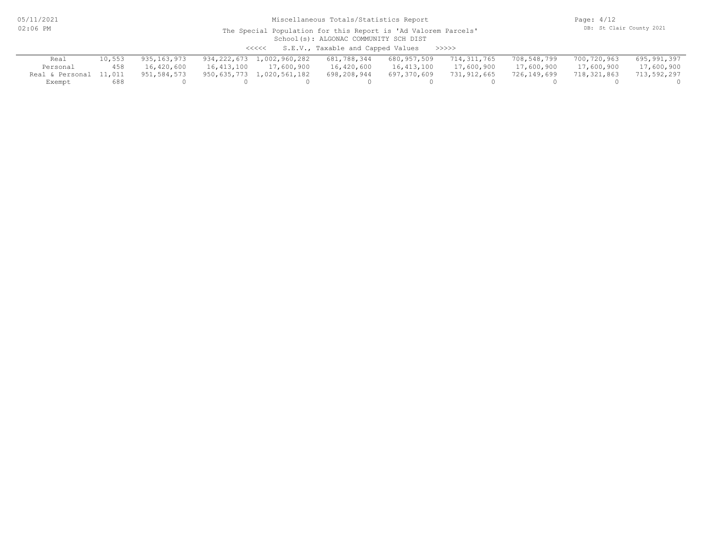05/11/2021 02:06 PM

# Miscellaneous Totals/Statistics Report

Page: 4/12 DB: St Clair County 2021

#### School(s): ALGONAC COMMUNITY SCH DIST The Special Population for this Report is 'Ad Valorem Parcels'

<<<<< S.E.V., Taxable and Capped Values >>>>>

| Real                   |     | 935,163,973 | 934,222,673 1,002,960,282 681,788,344 |             | 680,957,509 714,311,765 |             | 708,548,799 | 700,720,963 | 695,991,397 |
|------------------------|-----|-------------|---------------------------------------|-------------|-------------------------|-------------|-------------|-------------|-------------|
| Personal               | 458 | 16,420,600  | 16,413,100 17,600,900                 | 16,420,600  | 16,413,100              | 17,600,900  | 17,600,900  | 17,600,900  | 17,600,900  |
| Real & Personal 11,011 |     | 951,584,573 | 950,635,773 1,020,561,182             | 698,208,944 | 697,370,609             | 731,912,665 | 726,149,699 | 718,321,863 | 713,592,297 |
| Exempt                 | 688 |             |                                       |             |                         |             |             |             |             |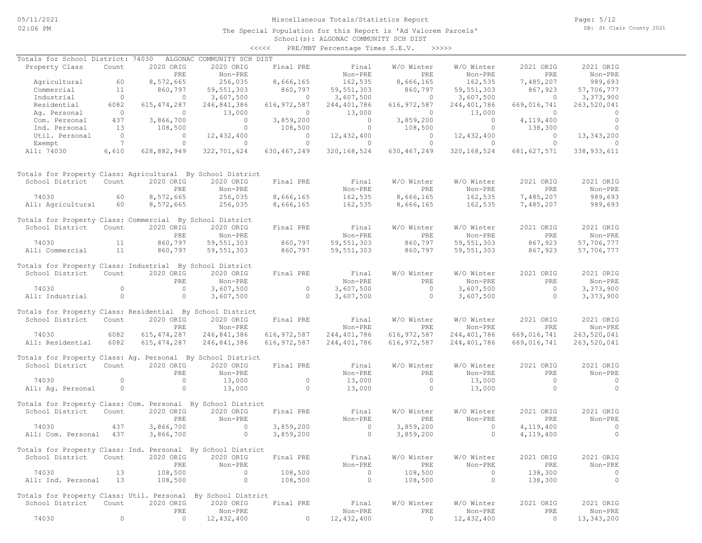Page: 5/12 DB: St Clair County 2021

#### School(s): ALGONAC COMMUNITY SCH DIST <<<<< PRE/MBT Percentage Times S.E.V. >>>>>

| Totals for School District: 74030                            |                 |               | ALGONAC COMMUNITY SCH DIST |                |                |                |                |                |                |
|--------------------------------------------------------------|-----------------|---------------|----------------------------|----------------|----------------|----------------|----------------|----------------|----------------|
| Property Class                                               | Count           | 2020 ORIG     | 2020 ORIG                  | Final PRE      | Final          | W/O Winter     | W/O Winter     | 2021 ORIG      | 2021 ORIG      |
|                                                              |                 | PRE           | Non-PRE                    |                | Non-PRE        | PRE            | Non-PRE        | PRE            | Non-PRE        |
| Agricultural                                                 | 60              | 8,572,665     | 256,035                    | 8,666,165      | 162,535        | 8,666,165      | 162,535        | 7,485,207      | 989,693        |
| Commercial                                                   | 11              | 860,797       | 59,551,303                 | 860,797        | 59,551,303     | 860,797        | 59, 551, 303   | 867,923        | 57,706,777     |
| Industrial                                                   | $\overline{0}$  | $\circ$       | 3,607,500                  | $\bigcirc$     | 3,607,500      | $\overline{0}$ | 3,607,500      | $\overline{0}$ | 3,373,900      |
| Residential                                                  | 6082            | 615, 474, 287 | 246,841,386                | 616, 972, 587  | 244,401,786    | 616, 972, 587  | 244,401,786    | 669,016,741    | 263,520,041    |
| Ag. Personal                                                 | $\overline{0}$  | $\circ$       | 13,000                     | $\circ$        | 13,000         | $\Omega$       | 13,000         | $\Omega$       | $\circ$        |
| Com. Personal                                                | 437             | 3,866,700     | $\overline{0}$             | 3,859,200      | $\overline{0}$ | 3,859,200      | $\overline{0}$ | 4,119,400      | $\overline{0}$ |
| Ind. Personal                                                | 13              | 108,500       | $\circ$                    | 108,500        | $\circ$        | 108,500        | $\circ$        | 138,300        | $\circ$        |
| Util. Personal                                               | $\sim$ 0        | $\circ$       | 12,432,400                 | $\overline{0}$ | 12,432,400     | $\overline{0}$ | 12,432,400     | $\overline{0}$ | 13, 343, 200   |
| Exempt                                                       | $7\phantom{0}7$ | $\circ$       | $\overline{0}$             | $\circ$        | $\overline{0}$ | $\circ$        | $\overline{0}$ | $\circ$        | $\overline{0}$ |
| All: 74030                                                   | 6,610           | 628,882,949   | 322,701,624                | 630, 467, 249  | 320, 168, 524  | 630,467,249    | 320, 168, 524  | 681, 627, 571  | 338, 933, 611  |
| Totals for Property Class: Agricultural By School District   |                 |               |                            |                |                |                |                |                |                |
| School District                                              | Count           | 2020 ORIG     | 2020 ORIG                  | Final PRE      | Final          | W/O Winter     | W/O Winter     | 2021 ORIG      | 2021 ORIG      |
|                                                              |                 | PRE           | Non-PRE                    |                | Non-PRE        | PRE            | Non-PRE        | PRE            | Non-PRE        |
| 74030                                                        | 60              | 8,572,665     | 256,035                    | 8,666,165      | 162,535        | 8,666,165      | 162,535        | 7,485,207      | 989,693        |
| All: Agricultural                                            | 60              | 8,572,665     | 256,035                    | 8,666,165      | 162,535        | 8,666,165      | 162,535        | 7,485,207      | 989,693        |
| Totals for Property Class: Commercial By School District     |                 |               |                            |                |                |                |                |                |                |
| School District                                              | Count           | 2020 ORIG     | 2020 ORIG                  | Final PRE      | Final          | W/O Winter     | W/O Winter     | 2021 ORIG      | 2021 ORIG      |
|                                                              |                 | PRE           | Non-PRE                    |                | Non-PRE        | <b>PRE</b>     | Non-PRE        | PRE            | Non-PRE        |
| 74030                                                        | 11              | 860,797       | 59, 551, 303               | 860,797        | 59,551,303     | 860,797        | 59, 551, 303   | 867,923        | 57,706,777     |
| All: Commercial                                              | 11              | 860,797       | 59, 551, 303               | 860,797        | 59,551,303     | 860,797        | 59, 551, 303   | 867,923        | 57,706,777     |
|                                                              |                 |               |                            |                |                |                |                |                |                |
| Totals for Property Class: Industrial By School District     |                 |               |                            |                |                |                |                |                |                |
| School District                                              | Count           | 2020 ORIG     | 2020 ORIG                  | Final PRE      | Final          | W/O Winter     | W/O Winter     | 2021 ORIG      | 2021 ORIG      |
|                                                              |                 | PRE           | Non-PRE                    |                | Non-PRE        | PRE            | Non-PRE        | PRE            | Non-PRE        |
| 74030                                                        | $\Omega$        | $\circ$       | 3,607,500                  | $\circ$        | 3,607,500      | $\overline{0}$ | 3,607,500      | $\overline{0}$ | 3,373,900      |
| All: Industrial                                              | $\circ$         | $\circ$       | 3,607,500                  | $\circ$        | 3,607,500      | $\circ$        | 3,607,500      | $\circ$        | 3,373,900      |
|                                                              |                 |               |                            |                |                |                |                |                |                |
| Totals for Property Class: Residential By School District    |                 |               |                            |                |                |                |                |                |                |
| School District                                              | Count           | 2020 ORIG     | 2020 ORIG                  | Final PRE      | Final          | W/O Winter     | W/O Winter     | 2021 ORIG      | 2021 ORIG      |
|                                                              |                 | PRE           | Non-PRE                    |                | Non-PRE        | PRE            | Non-PRE        | PRE            | Non-PRE        |
| 74030                                                        | 6082            | 615, 474, 287 | 246,841,386                | 616,972,587    | 244,401,786    | 616,972,587    | 244,401,786    | 669,016,741    | 263,520,041    |
| All: Residential                                             | 6082            | 615, 474, 287 | 246,841,386                | 616, 972, 587  | 244,401,786    | 616, 972, 587  | 244,401,786    | 669,016,741    | 263,520,041    |
| Totals for Property Class: Aq. Personal By School District   |                 |               |                            |                |                |                |                |                |                |
| School District                                              | Count           | 2020 ORIG     | 2020 ORIG                  | Final PRE      | Final          | W/O Winter     | W/O Winter     | 2021 ORIG      | 2021 ORIG      |
|                                                              |                 | PRE           | Non-PRE                    |                | Non-PRE        | PRE            | Non-PRE        | <b>PRE</b>     | Non-PRE        |
| 74030                                                        | $\circ$         | $\circ$       | 13,000                     | $\circ$        | 13,000         | $\circ$        | 13,000         | $\overline{0}$ | $\sim$ 0       |
| All: Aq. Personal                                            | $\circ$         | $\circ$       | 13,000                     | $\Omega$       | 13,000         | $\overline{0}$ | 13,000         | $\overline{0}$ | $\Omega$       |
|                                                              |                 |               |                            |                |                |                |                |                |                |
| Totals for Property Class: Com. Personal By School District  |                 |               |                            |                |                |                |                |                |                |
| School District                                              | Count           | 2020 ORIG     | 2020 ORIG                  | Final PRE      | Final          | W/O Winter     | W/O Winter     | 2021 ORIG      | 2021 ORIG      |
|                                                              |                 | PRE           | Non-PRE                    |                | Non-PRE        | PRE            | Non-PRE        | PRE            | Non-PRE        |
| 74030                                                        | 437             | 3,866,700     | $\Omega$                   | 3,859,200      | $\circ$        | 3,859,200      | $\circ$        | 4,119,400      | $\circ$        |
| All: Com. Personal 437                                       |                 | 3,866,700     | $\circ$                    | 3,859,200      | $\circ$        | 3,859,200      | $\circ$        | 4,119,400      | $\circ$        |
|                                                              |                 |               |                            |                |                |                |                |                |                |
| Totals for Property Class: Ind. Personal By School District  |                 |               |                            |                |                |                |                |                |                |
| School District                                              | Count           | 2020 ORIG     | 2020 ORIG                  | Final PRE      | Final          | W/O Winter     | W/O Winter     | 2021 ORIG      | 2021 ORIG      |
|                                                              |                 | PRE           | Non-PRE                    |                | Non-PRE        | PRE            | Non-PRE        | PRE            | Non-PRE        |
| 74030                                                        | 13              | 108,500       | $\circ$                    | 108,500        | $\overline{0}$ | 108,500        | $\circ$        | 138,300        | 0              |
| All: Ind. Personal                                           | 13              | 108,500       | $\circ$                    | 108,500        | $\circ$        | 108,500        | $\circ$        | 138,300        | $\circ$        |
|                                                              |                 |               |                            |                |                |                |                |                |                |
| Totals for Property Class: Util. Personal By School District |                 |               |                            |                |                |                |                |                |                |
| School District                                              | Count           | 2020 ORIG     | 2020 ORIG                  | Final PRE      | Final          | W/O Winter     | W/O Winter     | 2021 ORIG      | 2021 ORIG      |
|                                                              |                 | PRE           | Non-PRE                    |                | Non-PRE        | PRE            | Non-PRE        | PRE            | Non-PRE        |
| 74030                                                        | $\circ$         | $\circ$       | 12,432,400                 | 0              | 12,432,400     | $\circ$        | 12,432,400     | $\circ$        | 13, 343, 200   |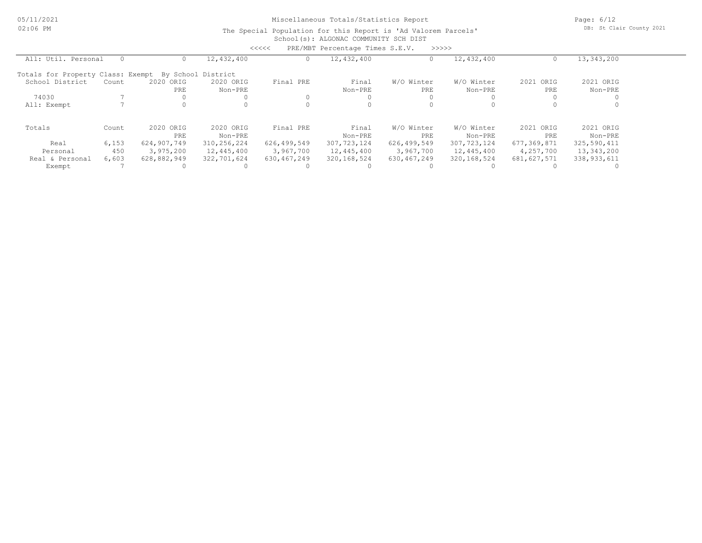Page: 6/12 DB: St Clair County 2021

#### School(s): ALGONAC COMMUNITY SCH DIST The Special Population for this Report is 'Ad Valorem Parcels'

|                                   |          |             |                    | <<<<        | PRE/MBT Percentage Times S.E.V. |             | >>>>>         |               |             |
|-----------------------------------|----------|-------------|--------------------|-------------|---------------------------------|-------------|---------------|---------------|-------------|
| All: Util. Personal               | $\Omega$ |             | 12,432,400         | $\circ$     | 12,432,400                      |             | 12,432,400    |               | 13,343,200  |
| Totals for Property Class: Exempt |          |             | By School District |             |                                 |             |               |               |             |
| School District                   | Count    | 2020 ORIG   | 2020 ORIG          | Final PRE   | Final                           | W/O Winter  | W/O Winter    | 2021 ORIG     | 2021 ORIG   |
|                                   |          | PRE         | Non-PRE            |             | Non-PRE                         | PRE         | Non-PRE       | PRE           | Non-PRE     |
| 74030                             |          |             |                    | 0           |                                 |             | <sup>0</sup>  |               |             |
| All: Exempt                       |          |             |                    | $\Omega$    |                                 |             | $\Omega$      |               |             |
| Totals                            | Count    | 2020 ORIG   | 2020 ORIG          | Final PRE   | Final                           | W/O Winter  | W/O Winter    | 2021 ORIG     | 2021 ORIG   |
|                                   |          | PRE         | Non-PRE            |             | Non-PRE                         | PRE.        | Non-PRE       | PRE           | Non-PRE     |
| Real                              | 6,153    | 624,907,749 | 310,256,224        | 626,499,549 | 307,723,124                     | 626,499,549 | 307, 723, 124 | 677,369,871   | 325,590,411 |
| Personal                          | 450      | 3,975,200   | 12,445,400         | 3,967,700   | 12,445,400                      | 3,967,700   | 12,445,400    | 4,257,700     | 13,343,200  |
| Real & Personal                   | 6,603    | 628,882,949 | 322,701,624        | 630,467,249 | 320,168,524                     | 630,467,249 | 320, 168, 524 | 681, 627, 571 | 338,933,611 |
| Exempt                            |          |             |                    |             |                                 |             |               |               |             |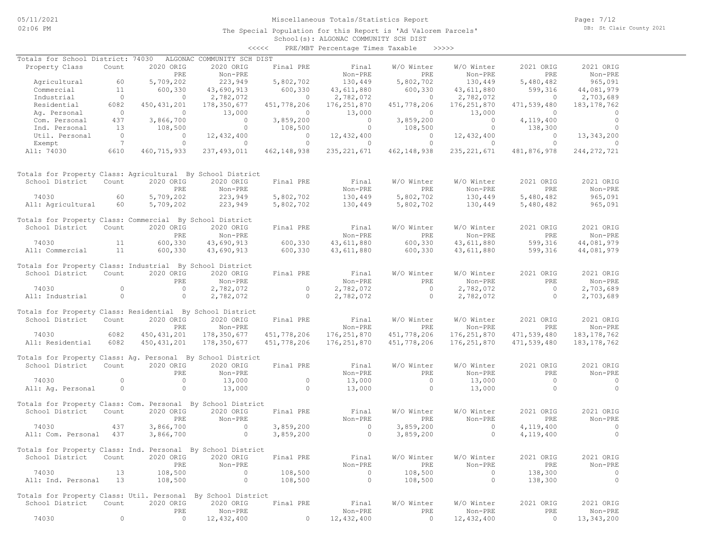Page: 7/12 DB: St Clair County 2021

School(s): ALGONAC COMMUNITY SCH DIST <<<<< PRE/MBT Percentage Times Taxable >>>>>

| Totals for School District: 74030                            |                |                | ALGONAC COMMUNITY SCH DIST |                |                |                |                |                |               |
|--------------------------------------------------------------|----------------|----------------|----------------------------|----------------|----------------|----------------|----------------|----------------|---------------|
| Property Class                                               | Count          | 2020 ORIG      | 2020 ORIG                  | Final PRE      | Final          | W/O Winter     | W/O Winter     | 2021 ORIG      | 2021 ORIG     |
|                                                              |                | <b>PRE</b>     | Non-PRE                    |                | Non-PRE        | PRE            | Non-PRE        | PRE            | Non-PRE       |
| Agricultural                                                 | 60             | 5,709,202      | 223,949                    | 5,802,702      | 130,449        | 5,802,702      | 130,449        | 5,480,482      | 965,091       |
| Commercial                                                   | 11             | 600,330        | 43,690,913                 | 600,330        | 43,611,880     | 600,330        | 43,611,880     | 599,316        | 44,081,979    |
| Industrial                                                   | $\overline{0}$ | $\overline{0}$ | 2,782,072                  | $\overline{0}$ | 2,782,072      | $\overline{0}$ | 2,782,072      | $\overline{0}$ | 2,703,689     |
| Residential                                                  | 6082           | 450, 431, 201  | 178,350,677                | 451,778,206    | 176, 251, 870  | 451,778,206    | 176, 251, 870  | 471,539,480    | 183, 178, 762 |
| Ag. Personal                                                 | $\overline{0}$ | $\Omega$       | 13,000                     | $\circ$        | 13,000         | $\Omega$       | 13,000         | $\bigcirc$     |               |
| Com. Personal                                                | 437            | 3,866,700      | $\sim$ 0                   | 3,859,200      | $\overline{0}$ | 3,859,200      | $\sim$ 0       | 4,119,400      | $\circ$       |
| Ind. Personal                                                | 13             | 108,500        | $\circ$                    | 108,500        | $\circ$        | 108,500        | $\circ$        | 138,300        | $\Omega$      |
| Util. Personal                                               | $\overline{0}$ | $\circ$        | 12,432,400                 | $\sim$ 0       | 12,432,400     | $\overline{0}$ | 12,432,400     | $\overline{0}$ | 13,343,200    |
| Exempt                                                       | $\overline{7}$ | $\circ$        | $\overline{0}$             | $\circ$        | $\overline{0}$ | $\circ$        | $\overline{0}$ | $\overline{0}$ | $\Omega$      |
| All: 74030                                                   | 6610           | 460, 715, 933  | 237, 493, 011              | 462,148,938    | 235, 221, 671  | 462,148,938    | 235, 221, 671  | 481,876,978    | 244, 272, 721 |
|                                                              |                |                |                            |                |                |                |                |                |               |
| Totals for Property Class: Agricultural By School District   |                |                |                            |                |                |                |                |                |               |
| School District                                              | Count          | 2020 ORIG      | 2020 ORIG                  | Final PRE      | Final          | W/O Winter     | W/O Winter     | 2021 ORIG      | 2021 ORIG     |
|                                                              |                | PRE            | Non-PRE                    |                | Non-PRE        | PRE            | Non-PRE        | PRE            | Non-PRE       |
| 74030                                                        | 60             | 5,709,202      | 223,949                    | 5,802,702      | 130,449        | 5,802,702      | 130,449        | 5,480,482      | 965,091       |
| All: Agricultural                                            | 60             | 5,709,202      | 223,949                    | 5,802,702      | 130,449        | 5,802,702      | 130,449        | 5,480,482      | 965,091       |
|                                                              |                |                |                            |                |                |                |                |                |               |
| Totals for Property Class: Commercial By School District     |                |                |                            |                |                |                |                |                |               |
| School District                                              | Count          | 2020 ORIG      | 2020 ORIG                  | Final PRE      | Final          | W/O Winter     | W/O Winter     | 2021 ORIG      | 2021 ORIG     |
|                                                              |                | PRE            | Non-PRE                    |                | Non-PRE        | PRE            | Non-PRE        | PRE            | Non-PRE       |
| 74030                                                        | 11             | 600,330        | 43,690,913                 | 600,330        | 43,611,880     | 600,330        | 43,611,880     | 599,316        | 44,081,979    |
| All: Commercial                                              | 11             | 600,330        | 43,690,913                 | 600,330        | 43,611,880     | 600,330        | 43,611,880     | 599,316        | 44,081,979    |
|                                                              |                |                |                            |                |                |                |                |                |               |
| Totals for Property Class: Industrial By School District     |                |                |                            |                |                |                |                |                |               |
| School District Count                                        |                | 2020 ORIG      | 2020 ORIG                  | Final PRE      | Final          | W/O Winter     | W/O Winter     | 2021 ORIG      | 2021 ORIG     |
|                                                              |                | PRE            | Non-PRE                    |                | Non-PRE        | PRE            | Non-PRE        | PRE            | Non-PRE       |
| 74030                                                        | $\Omega$       | $\overline{0}$ | 2,782,072                  | $\circ$        | 2,782,072      | $\overline{0}$ | 2,782,072      | $\overline{0}$ | 2,703,689     |
| All: Industrial                                              | $\overline{0}$ | $\circ$        | 2,782,072                  | $\circ$        | 2,782,072      | $\overline{0}$ | 2,782,072      | $\overline{0}$ | 2,703,689     |
|                                                              |                |                |                            |                |                |                |                |                |               |
| Totals for Property Class: Residential By School District    |                |                |                            |                |                |                |                |                |               |
| School District                                              | Count          | 2020 ORIG      | 2020 ORIG                  | Final PRE      | Final          | W/O Winter     | W/O Winter     | 2021 ORIG      | 2021 ORIG     |
|                                                              |                | PRE            | Non-PRE                    |                | Non-PRE        | PRE            | Non-PRE        | PRE            | Non-PRE       |
| 74030                                                        | 6082           | 450, 431, 201  | 178,350,677                | 451,778,206    | 176,251,870    | 451,778,206    | 176,251,870    | 471,539,480    | 183, 178, 762 |
| All: Residential                                             | 6082           | 450, 431, 201  | 178,350,677                | 451,778,206    | 176,251,870    | 451,778,206    | 176,251,870    | 471,539,480    | 183, 178, 762 |
| Totals for Property Class: Ag. Personal By School District   |                |                |                            |                |                |                |                |                |               |
| School District                                              | Count          | 2020 ORIG      | 2020 ORIG                  | Final PRE      | Final          | W/O Winter     | W/O Winter     | 2021 ORIG      | 2021 ORIG     |
|                                                              |                | PRE            | Non-PRE                    |                | Non-PRE        | PRE            | Non-PRE        | PRE            | Non-PRE       |
| 74030                                                        | $\circ$        | $\overline{0}$ | 13,000                     | $\overline{0}$ | 13,000         | $\overline{0}$ | 13,000         | $\overline{0}$ | $\sim$ 0      |
|                                                              | $\overline{0}$ | $\circ$        | 13,000                     | $\overline{0}$ | 13,000         | $\overline{0}$ | 13,000         | $\circ$        | $\Omega$      |
| All: Ag. Personal                                            |                |                |                            |                |                |                |                |                |               |
| Totals for Property Class: Com. Personal By School District  |                |                |                            |                |                |                |                |                |               |
| School District                                              | Count          | 2020 ORIG      | 2020 ORIG                  | Final PRE      | Final          | W/O Winter     | W/O Winter     | 2021 ORIG      | 2021 ORIG     |
|                                                              |                | PRE            | Non-PRE                    |                | Non-PRE        | PRE            | Non-PRE        | PRE            | Non-PRE       |
| 74030                                                        | 437            | 3,866,700      | $\Omega$                   | 3,859,200      | $\overline{0}$ | 3,859,200      | $\circ$        | 4,119,400      | $\circ$       |
| All: Com. Personal 437                                       |                | 3,866,700      | $\sim$ 0                   | 3,859,200      | $\overline{0}$ | 3,859,200      | $\circ$        | 4,119,400      | $\circ$       |
|                                                              |                |                |                            |                |                |                |                |                |               |
| Totals for Property Class: Ind. Personal By School District  |                |                |                            |                |                |                |                |                |               |
| School District                                              | Count          | 2020 ORIG      | 2020 ORIG                  | Final PRE      | Final          | W/O Winter     | W/O Winter     | 2021 ORIG      | 2021 ORIG     |
|                                                              |                | PRE            | Non-PRE                    |                | Non-PRE        | PRE            | Non-PRE        | PRE            | Non-PRE       |
| 74030                                                        | 13             | 108,500        | $\circ$                    | 108,500        | $\overline{0}$ | 108,500        | $\circ$        | 138,300        | $\circ$       |
| All: Ind. Personal                                           | 13             | 108,500        | $\circ$                    | 108,500        | $\circ$        | 108,500        | 0              | 138,300        | $\circ$       |
|                                                              |                |                |                            |                |                |                |                |                |               |
| Totals for Property Class: Util. Personal By School District |                |                |                            |                |                |                |                |                |               |
| School District                                              | Count          | 2020 ORIG      | 2020 ORIG                  | Final PRE      | Final          | W/O Winter     | W/O Winter     | 2021 ORIG      | 2021 ORIG     |
|                                                              |                | PRE            | Non-PRE                    |                | Non-PRE        | PRE            | Non-PRE        | PRE            | Non-PRE       |
| 74030                                                        | 0              | $\circ$        | 12,432,400                 | 0              | 12,432,400     | $\circ$        | 12, 432, 400   | $\circ$        | 13, 343, 200  |
|                                                              |                |                |                            |                |                |                |                |                |               |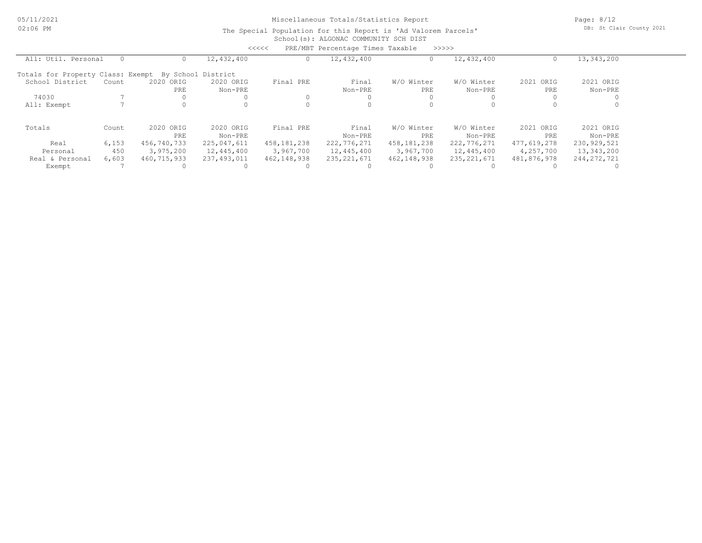Page: 8/12 DB: St Clair County 2021

#### School(s): ALGONAC COMMUNITY SCH DIST The Special Population for this Report is 'Ad Valorem Parcels'

|                                   |       |             |                    | <<<<          | PRE/MBT Percentage Times Taxable |             | >>>>>         |              |               |  |
|-----------------------------------|-------|-------------|--------------------|---------------|----------------------------------|-------------|---------------|--------------|---------------|--|
| All: Util. Personal               |       |             | 12,432,400         |               | 12,432,400                       |             | 12,432,400    |              | 13,343,200    |  |
| Totals for Property Class: Exempt |       |             | By School District |               |                                  |             |               |              |               |  |
| School District                   | Count | 2020 ORIG   | 2020 ORIG          | Final PRE     | Final                            | W/O Winter  | W/O Winter    | 2021<br>ORIG | 2021 ORIG     |  |
|                                   |       | PRE         | Non-PRE            |               | Non-PRE                          | PRE         | Non-PRE       | PRE          | Non-PRE       |  |
| 74030                             |       |             |                    |               |                                  |             |               |              |               |  |
| All: Exempt                       |       |             |                    |               |                                  |             |               |              |               |  |
| Totals                            | Count | 2020 ORIG   | 2020 ORIG          | Final PRE     | Final                            | W/O Winter  | W/O Winter    | 2021 ORIG    | 2021 ORIG     |  |
|                                   |       | PRE         | Non-PRE            |               | Non-PRE                          | PRE         | Non-PRE       | PRE          | Non-PRE       |  |
| Real                              | 6,153 | 456,740,733 | 225,047,611        | 458, 181, 238 | 222,776,271                      | 458,181,238 | 222,776,271   | 477,619,278  | 230,929,521   |  |
| Personal                          | 450   | 3,975,200   | 12,445,400         | 3,967,700     | 12,445,400                       | 3,967,700   | 12,445,400    | 4,257,700    | 13,343,200    |  |
| Real & Personal                   | 6,603 | 460,715,933 | 237,493,011        | 462, 148, 938 | 235, 221, 671                    | 462,148,938 | 235, 221, 671 | 481,876,978  | 244, 272, 721 |  |
| Exempt                            |       |             |                    |               |                                  |             |               |              |               |  |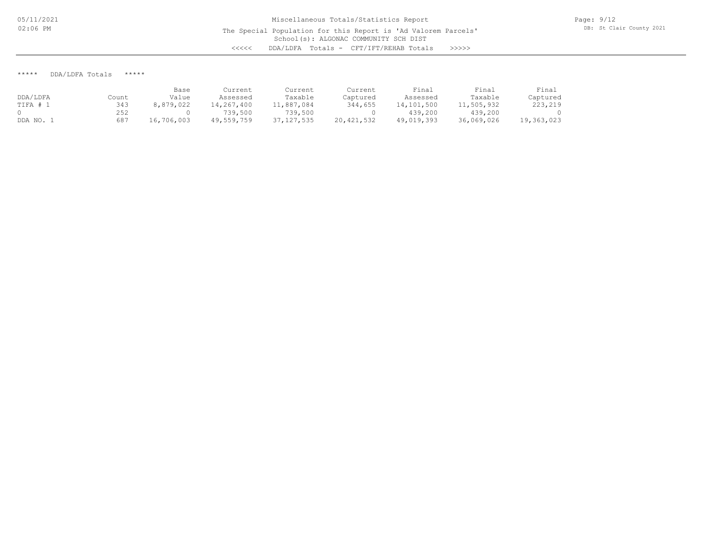\*\*\*\*\* DDA/LDFA Totals \*\*\*\*\*

|          |       | Base       | Current    | Current      | Current      | Final      | Final      | Final      |
|----------|-------|------------|------------|--------------|--------------|------------|------------|------------|
| DDA/LDFA | Count | Value      | Assessed   | Taxable      | Captured     | Assessed   | Taxable    | Captured   |
| TIFA # ? | 343   | 8,879,022  | 14,267,400 | 11,887,084   | 344,655      | 14,101,500 | 11,505,932 | 223,219    |
|          | 252   |            | 739,500    | 739,500      |              | 439,200    | 439,200    |            |
| DDA NO.  | 687   | 16,706,003 | 49,559,759 | 37, 127, 535 | 20, 421, 532 | 49,019,393 | 36,069,026 | 19,363,023 |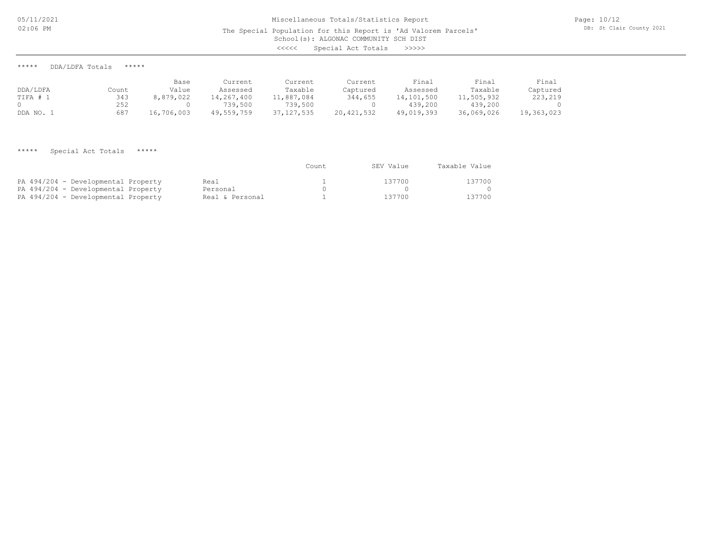# School(s): ALGONAC COMMUNITY SCH DIST Miscellaneous Totals/Statistics Report The Special Population for this Report is 'Ad Valorem Parcels' <<<<< Special Act Totals >>>>>

Page: 10/12 DB: St Clair County 2021

\*\*\*\*\* DDA/LDFA Totals \*\*\*\*\*

|          |       | Base       | Current    | Current      | Current    | Final      | Final      | Final      |
|----------|-------|------------|------------|--------------|------------|------------|------------|------------|
| DDA/LDFA | Count | Value      | Assessed   | Taxable      | Captured   | Assessed   | Taxable    | Captured   |
| TIFA # . | 343   | 8,879,022  | 14,267,400 | 11,887,084   | 344,655    | 14,101,500 | 11,505,932 | 223,219    |
|          | 252   |            | 739,500    | 739,500      |            | 439,200    | 439,200    |            |
| DDA NO.  | 687   | 16,706,003 | 49,559,759 | 37, 127, 535 | 20,421,532 | 49,019,393 | 36,069,026 | 19,363,023 |

\*\*\*\*\* Special Act Totals \*\*\*\*\*

|                                     |                 | Count | SEV Value | Taxable Value |
|-------------------------------------|-----------------|-------|-----------|---------------|
| PA 494/204 - Developmental Property | Real            |       | 137700    | 137700        |
| PA 494/204 - Developmental Property | Personal        |       |           |               |
| PA 494/204 - Developmental Property | Real & Personal |       | 137700    | 137700        |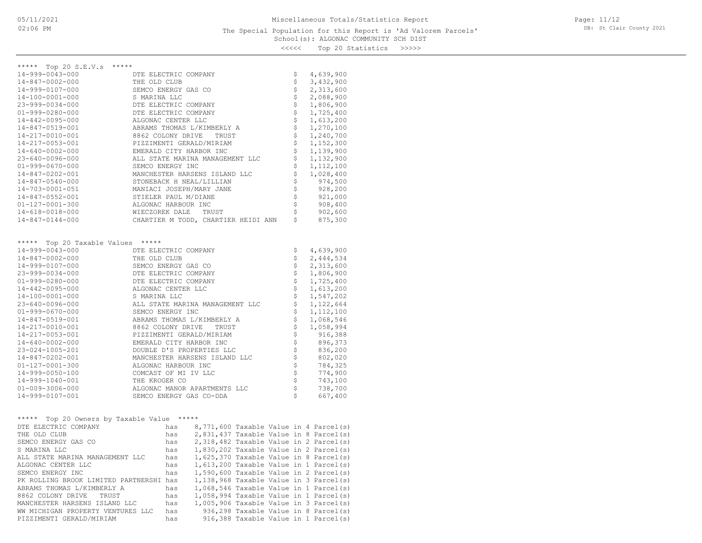#### School(s): ALGONAC COMMUNITY SCH DIST The Special Population for this Report is 'Ad Valorem Parcels'

Page: 11/12 DB: St Clair County 2021

<<<<< Top 20 Statistics >>>>>

| ***** Top 20 S.E.V.s                       |                                      |     |                                     |  |              |                                          |
|--------------------------------------------|--------------------------------------|-----|-------------------------------------|--|--------------|------------------------------------------|
| 14-999-0043-000                            | DTE ELECTRIC COMPANY                 |     |                                     |  | \$           | 4,639,900                                |
| 14-847-0002-000                            | THE OLD CLUB                         |     |                                     |  | \$           | 3,432,900                                |
| 14-999-0107-000                            | SEMCO ENERGY GAS CO                  |     |                                     |  | \$           | 2,313,600                                |
| 14-100-0001-000                            | S MARINA LLC                         |     |                                     |  | \$           | 2,088,900                                |
| 23-999-0034-000                            | DTE ELECTRIC COMPANY                 |     |                                     |  | \$           | 1,806,900                                |
| $01 - 999 - 0280 - 000$                    | DTE ELECTRIC COMPANY                 |     |                                     |  | \$           | 1,725,400                                |
| 14-442-0095-000                            | ALGONAC CENTER LLC                   |     |                                     |  | \$           | 1,613,200                                |
| 14-847-0519-001                            |                                      |     | ABRAMS THOMAS L/KIMBERLY A          |  | \$           | 1,270,100                                |
| 14-217-0010-001                            | 8862 COLONY DRIVE                    |     | TRUST                               |  | \$           | 1,240,700                                |
| 14-217-0053-001                            |                                      |     | PIZZIMENTI GERALD/MIRIAM            |  | \$           | 1,152,300                                |
| $14 - 640 - 0002 - 000$                    |                                      |     | EMERALD CITY HARBOR INC             |  | \$           | 1,139,900                                |
| 23-640-0096-000                            |                                      |     | ALL STATE MARINA MANAGEMENT LLC     |  | \$           | 1,132,900                                |
| $01 - 999 - 0670 - 000$                    | SEMCO ENERGY INC                     |     |                                     |  | \$           | 1,112,100                                |
| 14-847-0202-001                            |                                      |     | MANCHESTER HARSENS ISLAND LLC       |  | \$           | 1,028,400                                |
| $14 - 847 - 0540 - 000$                    |                                      |     | STONEBACK H NEAL/LILLIAN            |  | \$           | 974,500                                  |
| 14-703-0001-051                            |                                      |     | MANIACI JOSEPH/MARY JANE            |  | \$           | 928,200                                  |
| 14-847-0552-001                            | STIELER PAUL M/DIANE                 |     |                                     |  | \$           | 921,000                                  |
| 01-127-0001-300                            | ALGONAC HARBOUR INC                  |     |                                     |  | \$           | 908,400                                  |
| 14-618-0018-000                            | WIECZOREK DALE                       |     | TRUST                               |  | \$           | 902,600                                  |
| 14-847-0144-000                            |                                      |     | CHARTIER M TODD, CHARTIER HEIDI ANN |  | \$           | 875,300                                  |
|                                            |                                      |     |                                     |  |              |                                          |
| *****                                      |                                      |     |                                     |  |              |                                          |
| Top 20 Taxable Values *****                |                                      |     |                                     |  |              |                                          |
| 14-999-0043-000<br>$14 - 847 - 0002 - 000$ | DTE ELECTRIC COMPANY<br>THE OLD CLUB |     |                                     |  | \$           | 4,639,900<br>2,444,534                   |
| 14-999-0107-000                            | SEMCO ENERGY GAS CO                  |     |                                     |  | \$<br>\$     | 2,313,600                                |
| 23-999-0034-000                            | DTE ELECTRIC COMPANY                 |     |                                     |  | \$           | 1,806,900                                |
| $01 - 999 - 0280 - 000$                    | DTE ELECTRIC COMPANY                 |     |                                     |  | \$           | 1,725,400                                |
| 14-442-0095-000                            | ALGONAC CENTER LLC                   |     |                                     |  | \$           | 1,613,200                                |
| 14-100-0001-000                            | S MARINA LLC                         |     |                                     |  | \$           | 1,547,202                                |
| 23-640-0096-000                            |                                      |     | ALL STATE MARINA MANAGEMENT LLC     |  | \$           | 1,122,664                                |
| $01 - 999 - 0670 - 000$                    | SEMCO ENERGY INC                     |     |                                     |  | \$           | 1,112,100                                |
| 14-847-0519-001                            |                                      |     | ABRAMS THOMAS L/KIMBERLY A          |  | \$           | 1,068,546                                |
| 14-217-0010-001                            |                                      |     | 8862 COLONY DRIVE TRUST             |  | \$           | 1,058,994                                |
| 14-217-0053-001                            |                                      |     | PIZZIMENTI GERALD/MIRIAM            |  | \$           | 916,388                                  |
| $14 - 640 - 0002 - 000$                    |                                      |     | EMERALD CITY HARBOR INC             |  | $\mathsf{S}$ | 896,373                                  |
| 23-024-1005-201                            |                                      |     | DOUBLE D'S PROPERTIES LLC           |  | \$           | 836,200                                  |
| 14-847-0202-001                            |                                      |     | MANCHESTER HARSENS ISLAND LLC       |  | $\mathsf{S}$ | 802,020                                  |
| $01 - 127 - 0001 - 300$                    | ALGONAC HARBOUR INC                  |     |                                     |  | \$           | 784,325                                  |
| 14-999-0050-100                            | COMCAST OF MI IV LLC                 |     |                                     |  | \$           | 774,900                                  |
| 14-999-1040-001                            | THE KROGER CO                        |     |                                     |  | \$           | 743,100                                  |
| $01 - 009 - 3006 - 000$                    |                                      |     | ALGONAC MANOR APARTMENTS LLC        |  | \$           | 738,700                                  |
| 14-999-0107-001                            |                                      |     | SEMCO ENERGY GAS CO-DDA             |  | \$           | 667,400                                  |
|                                            |                                      |     |                                     |  |              |                                          |
|                                            |                                      |     |                                     |  |              |                                          |
| ***** Top 20 Owners by Taxable Value ***** |                                      |     |                                     |  |              |                                          |
| DTE ELECTRIC COMPANY                       |                                      | has |                                     |  |              | 8,771,600 Taxable Value in 4 Parcel(s)   |
| THE OLD CLUB                               |                                      | has |                                     |  |              | 2,831,437 Taxable Value in 8 Parcel(s)   |
| SEMCO ENERGY GAS CO                        |                                      | has |                                     |  |              | 2,318,482 Taxable Value in 2 Parcel(s)   |
| S MARINA LLC                               |                                      | has |                                     |  |              | 1,830,202 Taxable Value in 2 Parcel(s)   |
| ALL STATE MARINA MANAGEMENT LLC            |                                      | has |                                     |  |              | $1,625,370$ Taxable Value in 8 Parcel(s) |
| ALGONAC CENTER LLC                         |                                      | has |                                     |  |              | 1,613,200 Taxable Value in 1 Parcel(s)   |
| SEMCO ENERGY INC                           |                                      | has |                                     |  |              | 1,590,600 Taxable Value in 2 Parcel(s)   |
| PK ROLLING BROOK LIMITED PARTNERSHI has    |                                      |     |                                     |  |              | 1,138,968 Taxable Value in 3 Parcel(s)   |
| ABRAMS THOMAS L/KIMBERLY A                 | has                                  |     |                                     |  |              | 1,068,546 Taxable Value in 1 Parcel(s)   |
| 8862 COLONY DRIVE<br>TRUST                 |                                      | has |                                     |  |              | 1,058,994 Taxable Value in 1 Parcel(s)   |
| MANCHESTER HARSENS ISLAND LLC              |                                      | has |                                     |  |              | 1,005,906 Taxable Value in 3 Parcel(s)   |
| WW MICHIGAN PROPERTY VENTURES LLC          |                                      | has |                                     |  |              | 936,298 Taxable Value in 8 Parcel(s)     |

PIZZIMENTI GERALD/MIRIAM has 916,388 Taxable Value in 1 Parcel(s)